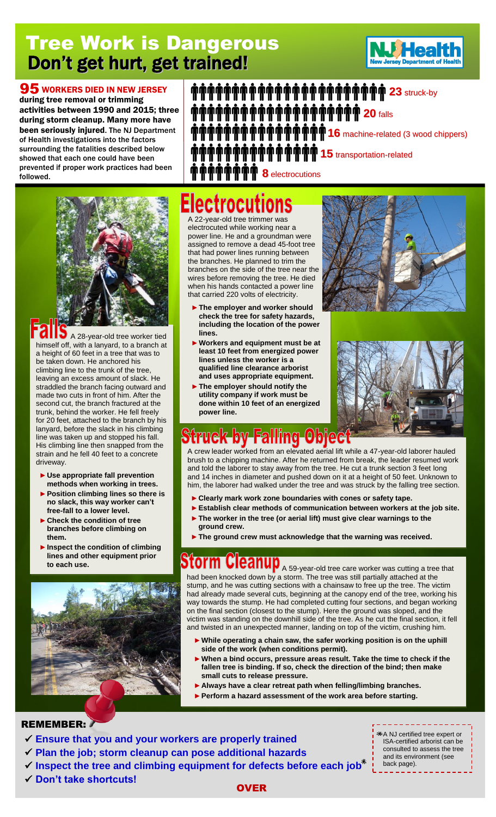# Tree Work is Dangerous Don't get hurt, get trained!



## **95** WORKERS DIED IN NEW JERSEY

during tree removal or trimming activities between 1990 and 2015; three during storm cleanup. Many more have been seriously injured. The NJ Department of Health investigations into the factors surrounding the fatalities described below showed that each one could have been prevented if proper work practices had been followed.

**8** electrocutions **พิพิพิพิพิพิพิพิพิพิพิพิพิพิ 20 falls nn nn nn nn nn 16** machine-related (3 wood chippers) **mmmmmmmmmmmmmmmmmmmmmmmmmm**nm 23 struck-by **notation-related** 



A 28-year-old tree worker tied himself off, with a lanyard, to a branch at a height of 60 feet in a tree that was to be taken down. He anchored his climbing line to the trunk of the tree, leaving an excess amount of slack. He straddled the branch facing outward and made two cuts in front of him. After the second cut, the branch fractured at the trunk, behind the worker. He fell freely for 20 feet, attached to the branch by his lanyard, before the slack in his climbing line was taken up and stopped his fall. His climbing line then snapped from the strain and he fell 40 feet to a concrete driveway.

- ►**Use appropriate fall prevention methods when working in trees.**
- ►**Position climbing lines so there is no slack, this way worker can't free-fall to a lower level.**
- ►**Check the condition of tree branches before climbing on them.**
- ►**Inspect the condition of climbing lines and other equipment prior to each use.**



# lectrocutio

A 22-year-old tree trimmer was electrocuted while working near a power line. He and a groundman were assigned to remove a dead 45-foot tree that had power lines running between the branches. He planned to trim the branches on the side of the tree near the wires before removing the tree. He died when his hands contacted a power line that carried 220 volts of electricity.

- ►**The employer and worker should check the tree for safety hazards, including the location of the power lines.**
- ►**Workers and equipment must be at least 10 feet from energized power lines unless the worker is a qualified line clearance arborist and uses appropriate equipment.**
- ►**The employer should notify the utility company if work must be done within 10 feet of an energized power line.**





## A crew leader worked from an elevated aerial lift while a 47-year-old laborer hauled **Objec**

brush to a chipping machine. After he returned from break, the leader resumed work and told the laborer to stay away from the tree. He cut a trunk section 3 feet long and 14 inches in diameter and pushed down on it at a height of 50 feet. Unknown to him, the laborer had walked under the tree and was struck by the falling tree section.

- ►**Clearly mark work zone boundaries with cones or safety tape.**
- ►**Establish clear methods of communication between workers at the job site.** ►**The worker in the tree (or aerial lift) must give clear warnings to the ground crew.**
- ►**The ground crew must acknowledge that the warning was received.**

**Storm Cleanup** A 59-year-old tree care worker was cutting a tree that had been knocked down by a storm. The tree was still partially attached at the stump, and he was cutting sections with a chainsaw to free up the tree. The victim had already made several cuts, beginning at the canopy end of the tree, working his way towards the stump. He had completed cutting four sections, and began working on the final section (closest to the stump). Here the ground was sloped, and the victim was standing on the downhill side of the tree. As he cut the final section, it fell and twisted in an unexpected manner, landing on top of the victim, crushing him.

- ►**While operating a chain saw, the safer working position is on the uphill side of the work (when conditions permit).**
- ►**When a bind occurs, pressure areas result. Take the time to check if the fallen tree is binding. If so, check the direction of the bind; then make small cuts to release pressure.**
- ►**Always have a clear retreat path when felling/limbing branches.**
- ►**Perform a hazard assessment of the work area before starting.**

## REMEMBER:

- **Ensure that you and your workers are properly trained**
- **Plan the job; storm cleanup can pose additional hazards**
- $\checkmark$  lnspect the tree and climbing equipment for defects before each job<sup> $\hat{\ }$ </sup>
- **Don't take shortcuts!**



\*A NJ certified tree expert or ISA-certified arborist can be consulted to assess the tree and its environment (see back page).